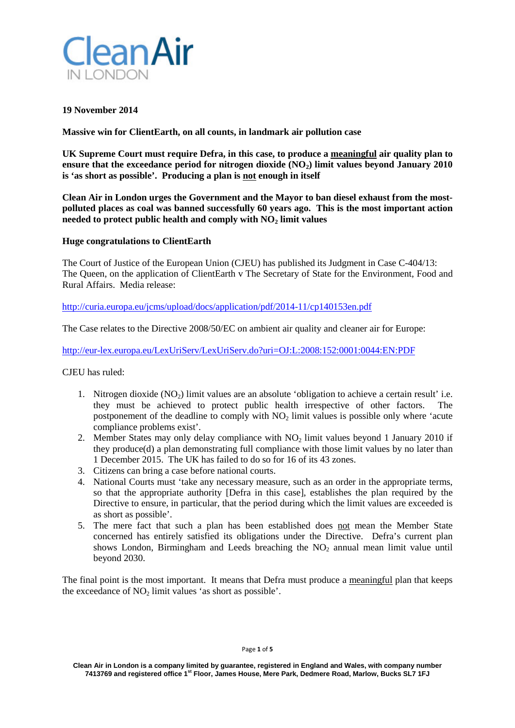

## **19 November 2014**

**Massive win for ClientEarth, on all counts, in landmark air pollution case**

**UK Supreme Court must require Defra, in this case, to produce a meaningful air quality plan to**  ensure that the exceedance period for nitrogen dioxide (NO<sub>2</sub>) limit values beyond January 2010 **is 'as short as possible'. Producing a plan is not enough in itself**

**Clean Air in London urges the Government and the Mayor to ban diesel exhaust from the mostpolluted places as coal was banned successfully 60 years ago. This is the most important action needed to protect public health and comply with NO<sub>2</sub> limit values** 

#### **Huge congratulations to ClientEarth**

The Court of Justice of the European Union (CJEU) has published its Judgment in Case C-404/13: The Queen, on the application of ClientEarth v The Secretary of State for the Environment, Food and Rural Affairs. Media release:

<http://curia.europa.eu/jcms/upload/docs/application/pdf/2014-11/cp140153en.pdf>

The Case relates to the Directive 2008/50/EC on ambient air quality and cleaner air for Europe:

<http://eur-lex.europa.eu/LexUriServ/LexUriServ.do?uri=OJ:L:2008:152:0001:0044:EN:PDF>

CJEU has ruled:

- 1. Nitrogen dioxide  $(NO<sub>2</sub>)$  limit values are an absolute 'obligation to achieve a certain result' i.e. they must be achieved to protect public health irrespective of other factors. postponement of the deadline to comply with  $NO<sub>2</sub>$  limit values is possible only where 'acute compliance problems exist'.
- 2. Member States may only delay compliance with  $NO<sub>2</sub>$  limit values beyond 1 January 2010 if they produce(d) a plan demonstrating full compliance with those limit values by no later than 1 December 2015. The UK has failed to do so for 16 of its 43 zones.
- 3. Citizens can bring a case before national courts.
- 4. National Courts must 'take any necessary measure, such as an order in the appropriate terms, so that the appropriate authority [Defra in this case], establishes the plan required by the Directive to ensure, in particular, that the period during which the limit values are exceeded is as short as possible'.
- 5. The mere fact that such a plan has been established does not mean the Member State concerned has entirely satisfied its obligations under the Directive. Defra's current plan shows London, Birmingham and Leeds breaching the  $NO<sub>2</sub>$  annual mean limit value until beyond 2030.

The final point is the most important. It means that Defra must produce a meaningful plan that keeps the exceedance of  $NO<sub>2</sub>$  limit values 'as short as possible'.

#### Page **1** of **5**

**Clean Air in London is a company limited by guarantee, registered in England and Wales, with company number 7413769 and registered office 1st Floor, James House, Mere Park, Dedmere Road, Marlow, Bucks SL7 1FJ**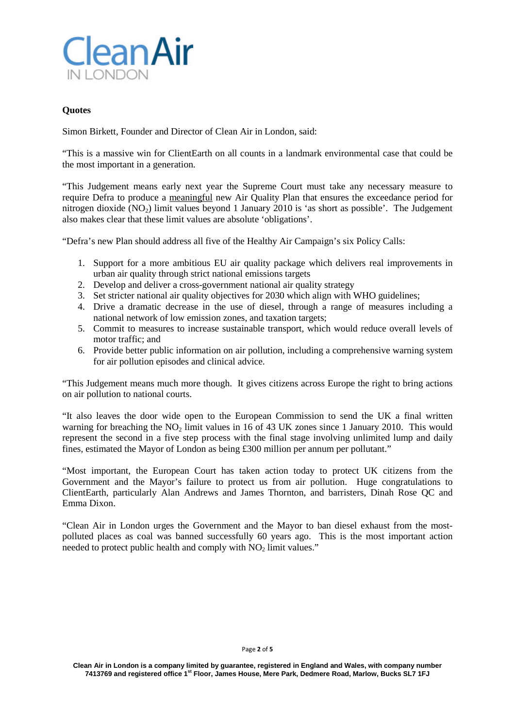

## **Quotes**

Simon Birkett, Founder and Director of Clean Air in London, said:

"This is a massive win for ClientEarth on all counts in a landmark environmental case that could be the most important in a generation.

"This Judgement means early next year the Supreme Court must take any necessary measure to require Defra to produce a meaningful new Air Quality Plan that ensures the exceedance period for nitrogen dioxide  $(NO<sub>2</sub>)$  limit values beyond 1 January 2010 is 'as short as possible'. The Judgement also makes clear that these limit values are absolute 'obligations'.

"Defra's new Plan should address all five of the Healthy Air Campaign's six Policy Calls:

- 1. Support for a more ambitious EU air quality package which delivers real improvements in urban air quality through strict national emissions targets
- 2. Develop and deliver a cross-government national air quality strategy
- 3. Set stricter national air quality objectives for 2030 which align with WHO guidelines;
- 4. Drive a dramatic decrease in the use of diesel, through a range of measures including a national network of low emission zones, and taxation targets;
- 5. Commit to measures to increase sustainable transport, which would reduce overall levels of motor traffic; and
- 6. Provide better public information on air pollution, including a comprehensive warning system for air pollution episodes and clinical advice.

"This Judgement means much more though. It gives citizens across Europe the right to bring actions on air pollution to national courts.

"It also leaves the door wide open to the European Commission to send the UK a final written warning for breaching the NO<sub>2</sub> limit values in 16 of 43 UK zones since 1 January 2010. This would represent the second in a five step process with the final stage involving unlimited lump and daily fines, estimated the Mayor of London as being £300 million per annum per pollutant."

"Most important, the European Court has taken action today to protect UK citizens from the Government and the Mayor's failure to protect us from air pollution. Huge congratulations to ClientEarth, particularly Alan Andrews and James Thornton, and barristers, Dinah Rose QC and Emma Dixon.

"Clean Air in London urges the Government and the Mayor to ban diesel exhaust from the mostpolluted places as coal was banned successfully 60 years ago. This is the most important action needed to protect public health and comply with  $NO<sub>2</sub>$  limit values."

#### Page **2** of **5**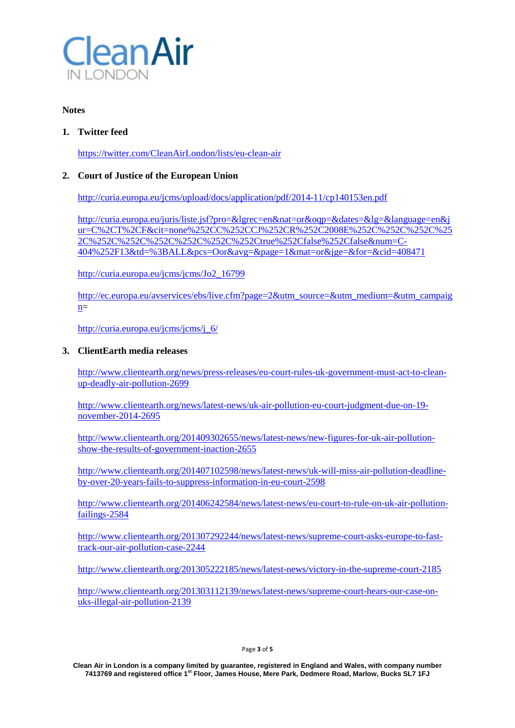

#### **Notes**

## **1. Twitter feed**

<https://twitter.com/CleanAirLondon/lists/eu-clean-air>

# **2. Court of Justice of the European Union**

<http://curia.europa.eu/jcms/upload/docs/application/pdf/2014-11/cp140153en.pdf>

[http://curia.europa.eu/juris/liste.jsf?pro=&lgrec=en&nat=or&oqp=&dates=&lg=&language=en&j](http://curia.europa.eu/juris/liste.jsf?pro=&lgrec=en&nat=or&oqp=&dates=&lg=&language=en&jur=C%2CT%2CF&cit=none%252CC%252CCJ%252CR%252C2008E%252C%252C%252C%252C%252C%252C%252C%252C%252C%252Ctrue%252Cfalse%252Cfalse&num=C-404%252F13&td=%3BALL&pcs=Oor&avg=&page=1&mat=or&jge=&for=&cid=408471) [ur=C%2CT%2CF&cit=none%252CC%252CCJ%252CR%252C2008E%252C%252C%252C%25](http://curia.europa.eu/juris/liste.jsf?pro=&lgrec=en&nat=or&oqp=&dates=&lg=&language=en&jur=C%2CT%2CF&cit=none%252CC%252CCJ%252CR%252C2008E%252C%252C%252C%252C%252C%252C%252C%252C%252C%252Ctrue%252Cfalse%252Cfalse&num=C-404%252F13&td=%3BALL&pcs=Oor&avg=&page=1&mat=or&jge=&for=&cid=408471) [2C%252C%252C%252C%252C%252C%252Ctrue%252Cfalse%252Cfalse&num=C-](http://curia.europa.eu/juris/liste.jsf?pro=&lgrec=en&nat=or&oqp=&dates=&lg=&language=en&jur=C%2CT%2CF&cit=none%252CC%252CCJ%252CR%252C2008E%252C%252C%252C%252C%252C%252C%252C%252C%252C%252Ctrue%252Cfalse%252Cfalse&num=C-404%252F13&td=%3BALL&pcs=Oor&avg=&page=1&mat=or&jge=&for=&cid=408471)[404%252F13&td=%3BALL&pcs=Oor&avg=&page=1&mat=or&jge=&for=&cid=408471](http://curia.europa.eu/juris/liste.jsf?pro=&lgrec=en&nat=or&oqp=&dates=&lg=&language=en&jur=C%2CT%2CF&cit=none%252CC%252CCJ%252CR%252C2008E%252C%252C%252C%252C%252C%252C%252C%252C%252C%252Ctrue%252Cfalse%252Cfalse&num=C-404%252F13&td=%3BALL&pcs=Oor&avg=&page=1&mat=or&jge=&for=&cid=408471)

[http://curia.europa.eu/jcms/jcms/Jo2\\_16799](http://curia.europa.eu/jcms/jcms/Jo2_16799)

[http://ec.europa.eu/avservices/ebs/live.cfm?page=2&utm\\_source=&utm\\_medium=&utm\\_campaig](http://ec.europa.eu/avservices/ebs/live.cfm?page=2&utm_source=&utm_medium=&utm_campaign)  $n=$ 

[http://curia.europa.eu/jcms/jcms/j\\_6/](http://curia.europa.eu/jcms/jcms/j_6/)

## **3. ClientEarth media releases**

[http://www.clientearth.org/news/press-releases/eu-court-rules-uk-government-must-act-to-clean](http://www.clientearth.org/news/press-releases/eu-court-rules-uk-government-must-act-to-clean-up-deadly-air-pollution-2699)[up-deadly-air-pollution-2699](http://www.clientearth.org/news/press-releases/eu-court-rules-uk-government-must-act-to-clean-up-deadly-air-pollution-2699)

[http://www.clientearth.org/news/latest-news/uk-air-pollution-eu-court-judgment-due-on-19](http://www.clientearth.org/news/latest-news/uk-air-pollution-eu-court-judgment-due-on-19-november-2014-2695) [november-2014-2695](http://www.clientearth.org/news/latest-news/uk-air-pollution-eu-court-judgment-due-on-19-november-2014-2695)

[http://www.clientearth.org/201409302655/news/latest-news/new-figures-for-uk-air-pollution](http://www.clientearth.org/201409302655/news/latest-news/new-figures-for-uk-air-pollution-show-the-results-of-government-inaction-2655)[show-the-results-of-government-inaction-2655](http://www.clientearth.org/201409302655/news/latest-news/new-figures-for-uk-air-pollution-show-the-results-of-government-inaction-2655)

[http://www.clientearth.org/201407102598/news/latest-news/uk-will-miss-air-pollution-deadline](http://www.clientearth.org/201407102598/news/latest-news/uk-will-miss-air-pollution-deadline-by-over-20-years-fails-to-suppress-information-in-eu-court-2598)[by-over-20-years-fails-to-suppress-information-in-eu-court-2598](http://www.clientearth.org/201407102598/news/latest-news/uk-will-miss-air-pollution-deadline-by-over-20-years-fails-to-suppress-information-in-eu-court-2598)

[http://www.clientearth.org/201406242584/news/latest-news/eu-court-to-rule-on-uk-air-pollution](http://www.clientearth.org/201406242584/news/latest-news/eu-court-to-rule-on-uk-air-pollution-failings-2584)[failings-2584](http://www.clientearth.org/201406242584/news/latest-news/eu-court-to-rule-on-uk-air-pollution-failings-2584)

[http://www.clientearth.org/201307292244/news/latest-news/supreme-court-asks-europe-to-fast](http://www.clientearth.org/201307292244/news/latest-news/supreme-court-asks-europe-to-fast-track-our-air-pollution-case-2244)[track-our-air-pollution-case-2244](http://www.clientearth.org/201307292244/news/latest-news/supreme-court-asks-europe-to-fast-track-our-air-pollution-case-2244)

<http://www.clientearth.org/201305222185/news/latest-news/victory-in-the-supreme-court-2185>

[http://www.clientearth.org/201303112139/news/latest-news/supreme-court-hears-our-case-on](http://www.clientearth.org/201303112139/news/latest-news/supreme-court-hears-our-case-on-uks-illegal-air-pollution-2139)[uks-illegal-air-pollution-2139](http://www.clientearth.org/201303112139/news/latest-news/supreme-court-hears-our-case-on-uks-illegal-air-pollution-2139)

**Clean Air in London is a company limited by guarantee, registered in England and Wales, with company number 7413769 and registered office 1st Floor, James House, Mere Park, Dedmere Road, Marlow, Bucks SL7 1FJ**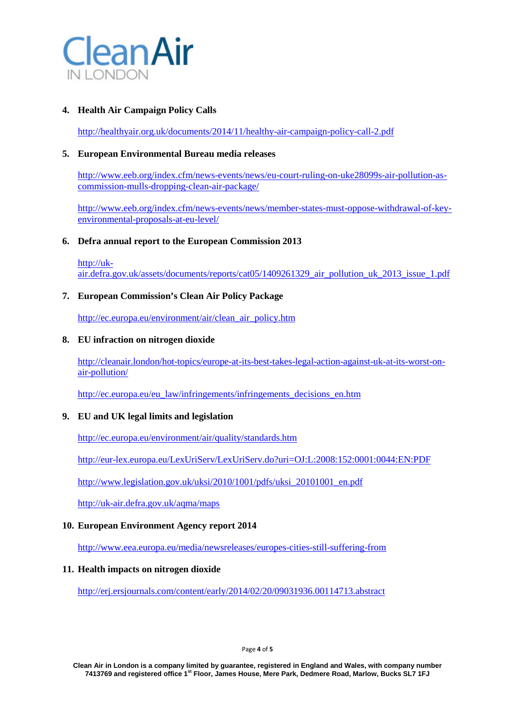

## **4. Health Air Campaign Policy Calls**

<http://healthyair.org.uk/documents/2014/11/healthy-air-campaign-policy-call-2.pdf>

## **5. European Environmental Bureau media releases**

[http://www.eeb.org/index.cfm/news-events/news/eu-court-ruling-on-uke28099s-air-pollution-as](http://www.eeb.org/index.cfm/news-events/news/eu-court-ruling-on-uke28099s-air-pollution-as-commission-mulls-dropping-clean-air-package/)[commission-mulls-dropping-clean-air-package/](http://www.eeb.org/index.cfm/news-events/news/eu-court-ruling-on-uke28099s-air-pollution-as-commission-mulls-dropping-clean-air-package/)

[http://www.eeb.org/index.cfm/news-events/news/member-states-must-oppose-withdrawal-of-key](http://www.eeb.org/index.cfm/news-events/news/member-states-must-oppose-withdrawal-of-key-environmental-proposals-at-eu-level/)[environmental-proposals-at-eu-level/](http://www.eeb.org/index.cfm/news-events/news/member-states-must-oppose-withdrawal-of-key-environmental-proposals-at-eu-level/)

## **6. Defra annual report to the European Commission 2013**

[http://uk](http://uk-air.defra.gov.uk/assets/documents/reports/cat05/1409261329_air_pollution_uk_2013_issue_1.pdf)[air.defra.gov.uk/assets/documents/reports/cat05/1409261329\\_air\\_pollution\\_uk\\_2013\\_issue\\_1.pdf](http://uk-air.defra.gov.uk/assets/documents/reports/cat05/1409261329_air_pollution_uk_2013_issue_1.pdf)

## **7. European Commission's Clean Air Policy Package**

[http://ec.europa.eu/environment/air/clean\\_air\\_policy.htm](http://ec.europa.eu/environment/air/clean_air_policy.htm)

## **8. EU infraction on nitrogen dioxide**

[http://cleanair.london/hot-topics/europe-at-its-best-takes-legal-action-against-uk-at-its-worst-on](http://cleanair.london/hot-topics/europe-at-its-best-takes-legal-action-against-uk-at-its-worst-on-air-pollution/)[air-pollution/](http://cleanair.london/hot-topics/europe-at-its-best-takes-legal-action-against-uk-at-its-worst-on-air-pollution/)

[http://ec.europa.eu/eu\\_law/infringements/infringements\\_decisions\\_en.htm](http://ec.europa.eu/eu_law/infringements/infringements_decisions_en.htm)

## **9. EU and UK legal limits and legislation**

<http://ec.europa.eu/environment/air/quality/standards.htm>

<http://eur-lex.europa.eu/LexUriServ/LexUriServ.do?uri=OJ:L:2008:152:0001:0044:EN:PDF>

[http://www.legislation.gov.uk/uksi/2010/1001/pdfs/uksi\\_20101001\\_en.pdf](http://www.legislation.gov.uk/uksi/2010/1001/pdfs/uksi_20101001_en.pdf)

<http://uk-air.defra.gov.uk/aqma/maps>

## **10. European Environment Agency report 2014**

<http://www.eea.europa.eu/media/newsreleases/europes-cities-still-suffering-from>

## **11. Health impacts on nitrogen dioxide**

<http://erj.ersjournals.com/content/early/2014/02/20/09031936.00114713.abstract>